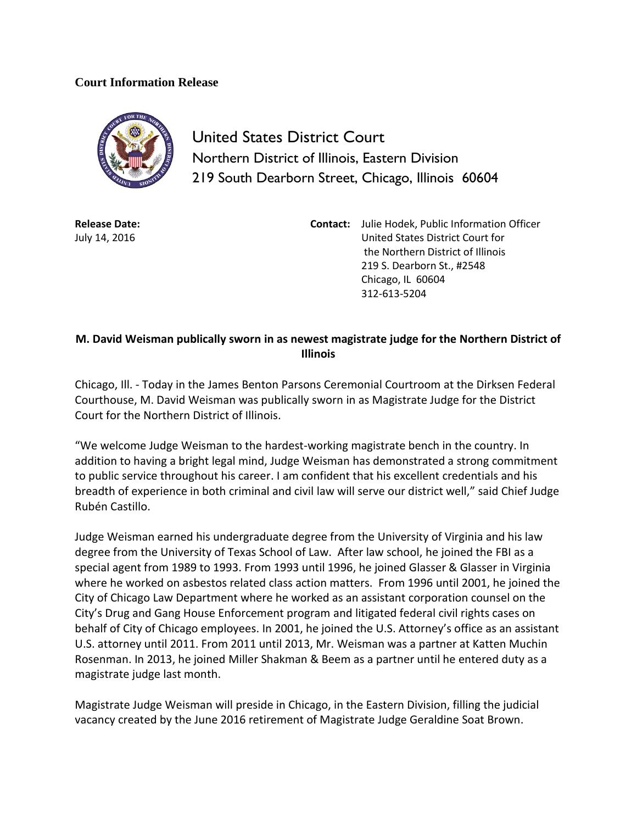## **Court Information Release**



United States District Court Northern District of Illinois, Eastern Division 219 South Dearborn Street, Chicago, Illinois 60604

**Release Date:** July 14, 2016

**Contact:** Julie Hodek, Public Information Officer United States District Court for the Northern District of Illinois 219 S. Dearborn St., #2548 Chicago, IL 60604 312-613-5204

## **M. David Weisman publically sworn in as newest magistrate judge for the Northern District of Illinois**

Chicago, Ill. - Today in the James Benton Parsons Ceremonial Courtroom at the Dirksen Federal Courthouse, M. David Weisman was publically sworn in as Magistrate Judge for the District Court for the Northern District of Illinois.

"We welcome Judge Weisman to the hardest-working magistrate bench in the country. In addition to having a bright legal mind, Judge Weisman has demonstrated a strong commitment to public service throughout his career. I am confident that his excellent credentials and his breadth of experience in both criminal and civil law will serve our district well," said Chief Judge Rubén Castillo.

Judge Weisman earned his undergraduate degree from the University of Virginia and his law degree from the University of Texas School of Law. After law school, he joined the FBI as a special agent from 1989 to 1993. From 1993 until 1996, he joined Glasser & Glasser in Virginia where he worked on asbestos related class action matters. From 1996 until 2001, he joined the City of Chicago Law Department where he worked as an assistant corporation counsel on the City's Drug and Gang House Enforcement program and litigated federal civil rights cases on behalf of City of Chicago employees. In 2001, he joined the U.S. Attorney's office as an assistant U.S. attorney until 2011. From 2011 until 2013, Mr. Weisman was a partner at Katten Muchin Rosenman. In 2013, he joined Miller Shakman & Beem as a partner until he entered duty as a magistrate judge last month.

Magistrate Judge Weisman will preside in Chicago, in the Eastern Division, filling the judicial vacancy created by the June 2016 retirement of Magistrate Judge Geraldine Soat Brown.